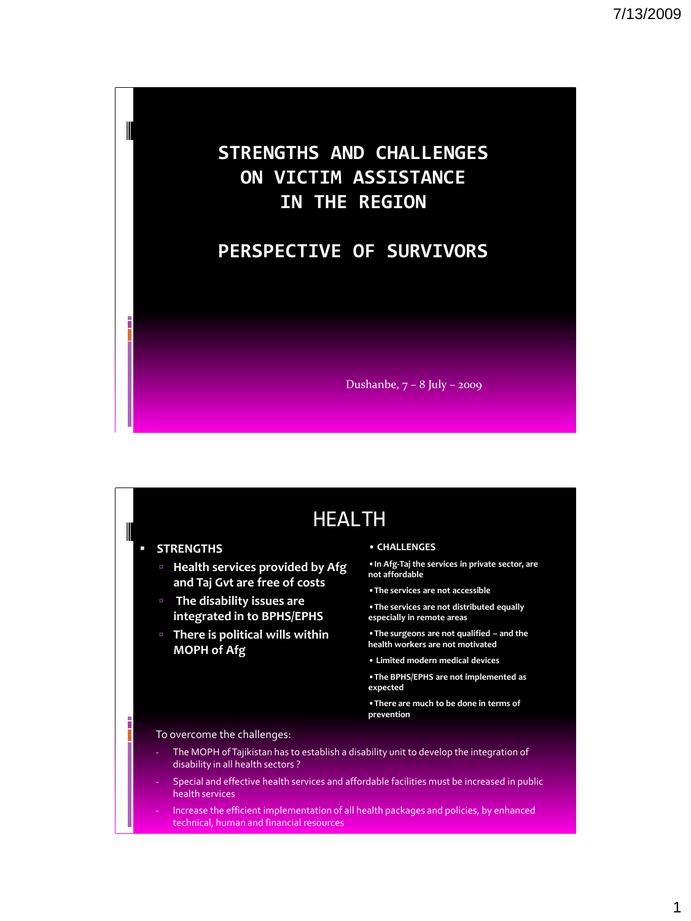## **STRENGTHS AND CHALLENGES ON VICTIM ASSISTANCE IN THE REGION**

### **PERSPECTIVE OF SURVIVORS**

Dushanbe, 7 – 8 July – 2009

## HEALTH

#### **STRENGTHS**

║

- **Health services provided by Afg and Taj Gvt are free of costs**
- **The disability issues are integrated in to BPHS/EPHS**
- **There is political wills within MOPH of Afg**

#### • **CHALLENGES**

•**In Afg-Taj the services in private sector, are not affordable**

- •**The services are not accessible**
- •**The services are not distributed equally especially in remote areas**
- •**The surgeons are not qualified – and the health workers are not motivated**
- **Limited modern medical devices**
- •**The BPHS/EPHS are not implemented as expected**
- •**There are much to be done in terms of prevention**

#### To overcome the challenges:

- The MOPH of Tajikistan has to establish a disability unit to develop the integration of disability in all health sectors ?
- Special and effective health services and affordable facilities must be increased in public health services
- Increase the efficient implementation of all health packages and policies, by enhanced technical, human and financial resources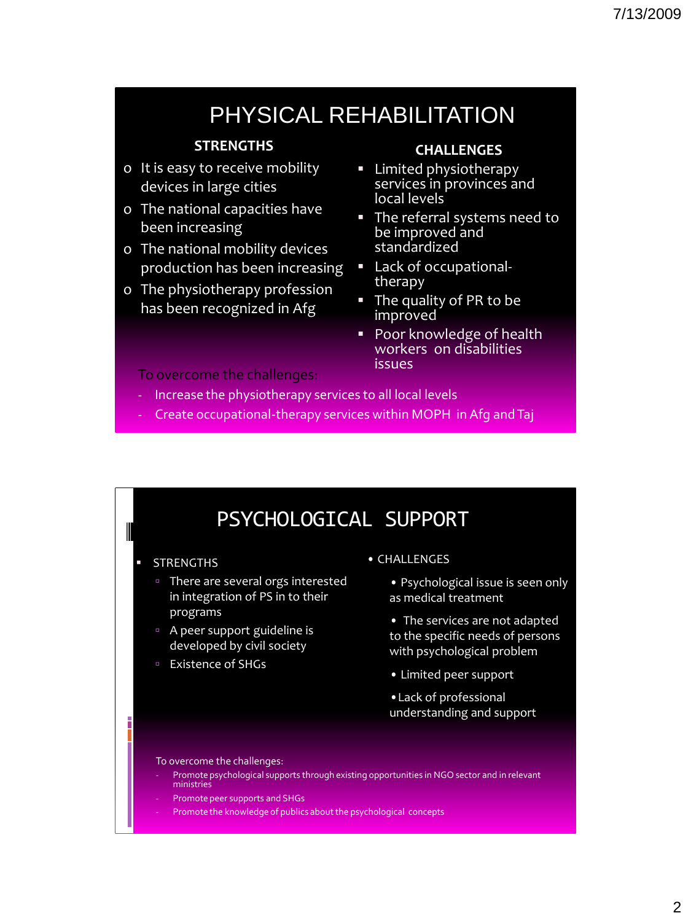# PHYSICAL REHABILITATION

### **STRENGTHS**

- o It is easy to receive mobility devices in large cities
- o The national capacities have been increasing
- o The national mobility devices production has been increasing
- o The physiotherapy profession has been recognized in Afg

### **CHALLENGES**

- **EXEC** physiotherapy services in provinces and local levels
- **The referral systems need to** be improved and standardized
- Lack of occupationaltherapy
- The quality of PR to be improved
- Poor knowledge of health workers on disabilities issues

#### To overcome the challenges:

- Increase the physiotherapy services to all local levels
- Create occupational-therapy services within MOPH in Afg and Taj

## PSYCHOLOGICAL SUPPORT

#### **STRENGTHS**

 $\blacksquare$ 

- <sup>o</sup> There are several orgs interested in integration of PS in to their programs
- A peer support guideline is developed by civil society
- Existence of SHGs

• CHALLENGES

• Psychological issue is seen only as medical treatment

- The services are not adapted to the specific needs of persons with psychological problem
- Limited peer support
- •Lack of professional understanding and support

#### To overcome the challenges:

- Promote psychological supports through existing opportunities in NGO sector and in relevant ministries
- Promote peer supports and SHGs
- Promote the knowledge of publics about the psychological concepts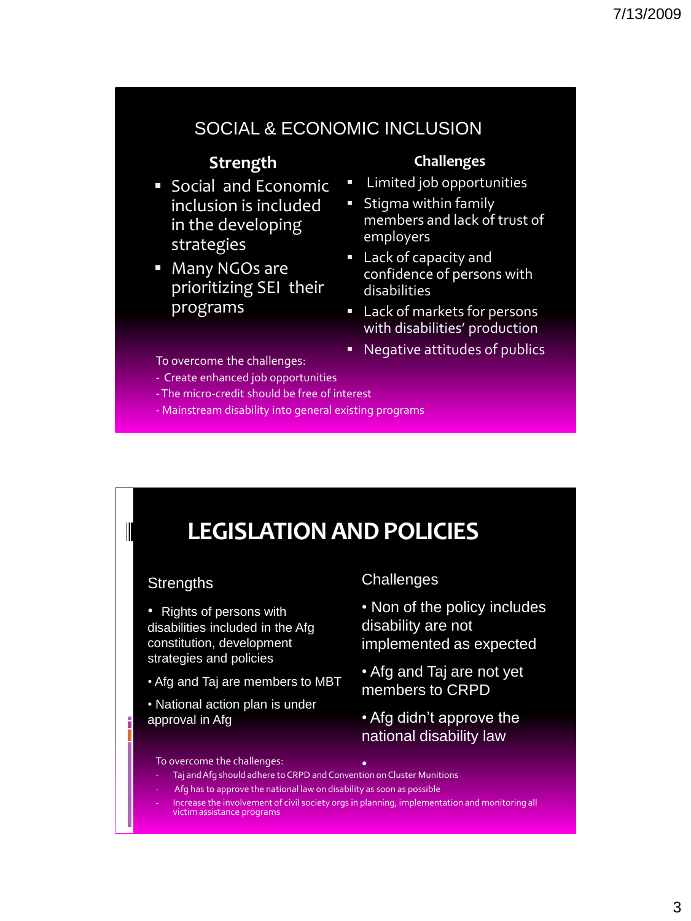### SOCIAL & ECONOMIC INCLUSION

### **Strength**

- **Social and Economic** inclusion is included in the developing strategies
- **Many NGOs are** prioritizing SEI their programs

#### To overcome the challenges:

- Create enhanced job opportunities
- -The micro-credit should be free of interest
- Mainstream disability into general existing programs

#### **Challenges**

- Limited job opportunities
- **Stigma within family** members and lack of trust of employers
- Lack of capacity and confidence of persons with disabilities
- **Lack of markets for persons** with disabilities' production
- Negative attitudes of publics

# **LEGISLATION AND POLICIES**

### **Strengths**

- Rights of persons with disabilities included in the Afg constitution, development strategies and policies
- Afg and Taj are members to MBT
- National action plan is under approval in Afg

### Challenges

• Non of the policy includes disability are not implemented as expected

- Afg and Taj are not yet members to CRPD
- Afg didn't approve the national disability law

#### To overcome the challenges:

- - Taj and Afg should adhere to CRPD and Convention on Cluster Munitions
- Afg has to approve the national law on disability as soon as possible
- Increase the involvement of civil society orgs in planning, implementation and monitoring all victim assistance programs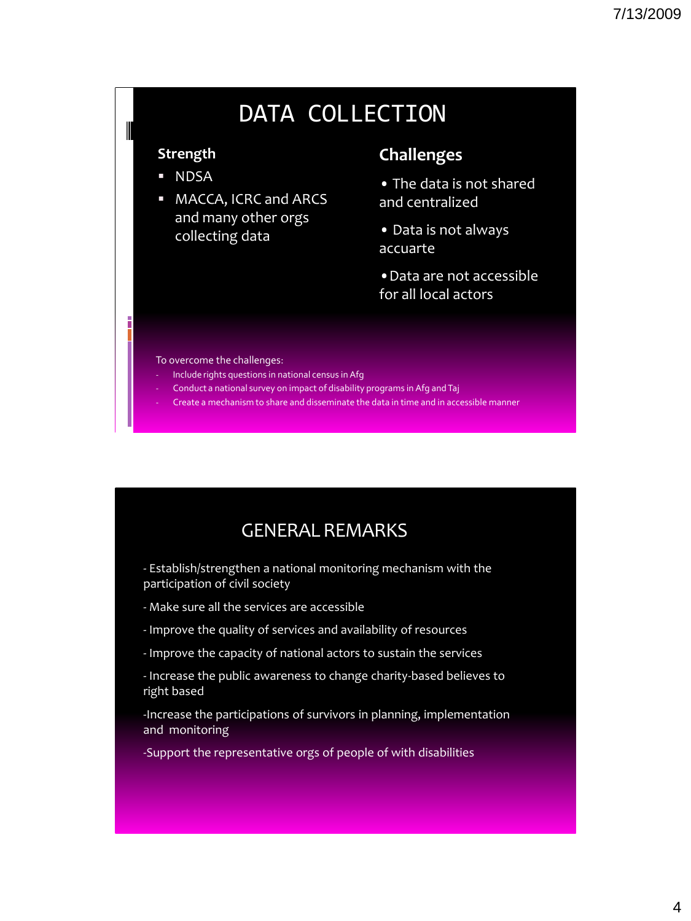# DATA COLLECTION

### **Strength**

I

- NDSA
- **MACCA, ICRC and ARCS** and many other orgs collecting data

### **Challenges**

- The data is not shared and centralized
- Data is not always accuarte
- •Data are not accessible for all local actors

#### To overcome the challenges:

- Include rights questions in national census in Afg
- Conduct a national survey on impact of disability programs in Afg and Taj
- Create a mechanism to share and disseminate the data in time and in accessible manner

## GENERAL REMARKS

- Establish/strengthen a national monitoring mechanism with the participation of civil society

- Make sure all the services are accessible
- Improve the quality of services and availability of resources
- Improve the capacity of national actors to sustain the services
- Increase the public awareness to change charity-based believes to right based

-Increase the participations of survivors in planning, implementation and monitoring

-Support the representative orgs of people of with disabilities